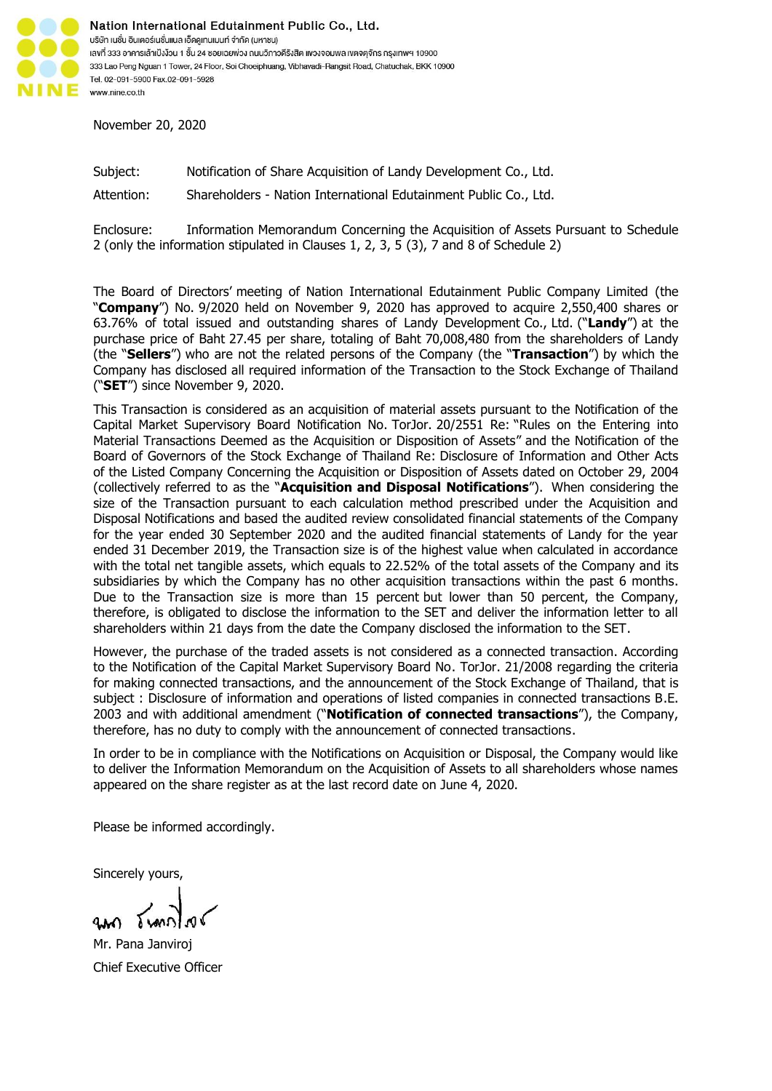

Nation International Edutainment Public Co., Ltd. บริษัท เนชั่น อินเตอร์เนชั่นแนล เอ็ดคูเทนเมนท์ จำกัด (มหาชน) เลงที่ 333 อาคารเล้าเป้งง้วน 1 ชั้น 24 ซอยเฉยพ่วง ถนนวิภาวดีรังสิต แงวงจอมพล เขตจตุจักร กรุงเทพฯ 10900 333 Lao Peng Nguan 1 Tower, 24 Floor, Soi Choeiphuang, Vibhavadi-Rangsit Road, Chatuchak, BKK 10900 Tel. 02-091-5900 Fax.02-091-5928 www.nine.co.th

November 20, 2020

Subject: Notification of Share Acquisition of Landy Development Co., Ltd.

Attention: Shareholders - Nation International Edutainment Public Co., Ltd.

Enclosure: Information Memorandum Concerning the Acquisition of Assets Pursuant to Schedule 2 (only the information stipulated in Clauses 1, 2, 3, 5 (3), 7 and 8 of Schedule 2)

The Board of Directors' meeting of Nation International Edutainment Public Company Limited (the "**Company**") No. 9/2020 held on November 9, 2020 has approved to acquire 2,550,400 shares or 63.76% of total issued and outstanding shares of Landy Development Co., Ltd. ("**Landy**") at the purchase price of Baht 27.45 per share, totaling of Baht 70,008,480 from the shareholders of Landy (the "**Sellers**") who are not the related persons of the Company (the "**Transaction**") by which the Company has disclosed all required information of the Transaction to the Stock Exchange of Thailand ("**SET**") since November 9, 2020.

This Transaction is considered as an acquisition of material assets pursuant to the Notification of the Capital Market Supervisory Board Notification No. TorJor. 20/2551 Re: "Rules on the Entering into Material Transactions Deemed as the Acquisition or Disposition of Assets" and the Notification of the Board of Governors of the Stock Exchange of Thailand Re: Disclosure of Information and Other Acts of the Listed Company Concerning the Acquisition or Disposition of Assets dated on October 29, 2004 (collectively referred to as the "**Acquisition and Disposal Notifications**"). When considering the size of the Transaction pursuant to each calculation method prescribed under the Acquisition and Disposal Notifications and based the audited review consolidated financial statements of the Company for the year ended 30 September 2020 and the audited financial statements of Landy for the year ended 31 December 2019, the Transaction size is of the highest value when calculated in accordance with the total net tangible assets, which equals to 22.52% of the total assets of the Company and its subsidiaries by which the Company has no other acquisition transactions within the past 6 months. Due to the Transaction size is more than 15 percent but lower than 50 percent, the Company, therefore, is obligated to disclose the information to the SET and deliver the information letter to all shareholders within 21 days from the date the Company disclosed the information to the SET.

However, the purchase of the traded assets is not considered as a connected transaction. According to the Notification of the Capital Market Supervisory Board No. TorJor. 21/2008 regarding the criteria for making connected transactions, and the announcement of the Stock Exchange of Thailand, that is subject : Disclosure of information and operations of listed companies in connected transactions B.E. 2003 and with additional amendment ("**Notification of connected transactions**"), the Company, therefore, has no duty to comply with the announcement of connected transactions.

In order to be in compliance with the Notifications on Acquisition or Disposal, the Company would like to deliver the Information Memorandum on the Acquisition of Assets to all shareholders whose names appeared on the share register as at the last record date on June 4, 2020.

Please be informed accordingly.

Sincerely yours,

Mr. Pana Janviroj Chief Executive Officer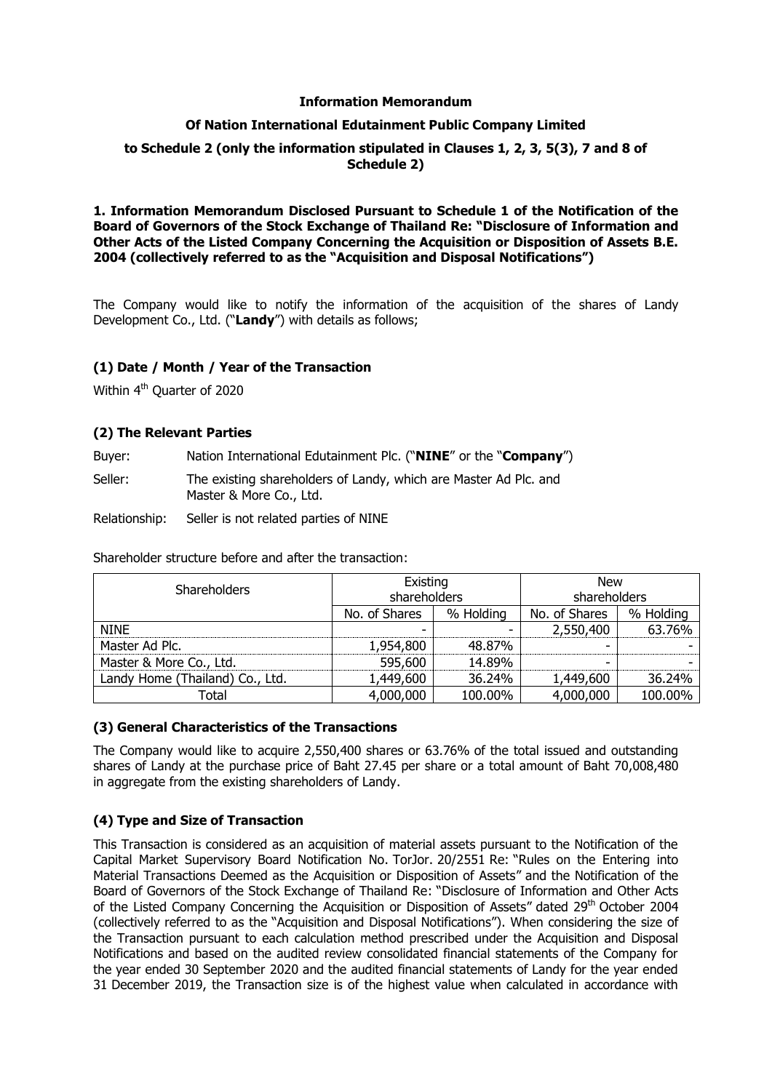#### **Information Memorandum**

# **Of Nation International Edutainment Public Company Limited**

# **to Schedule 2 (only the information stipulated in Clauses 1, 2, 3, 5(3), 7 and 8 of Schedule 2)**

#### **1. Information Memorandum Disclosed Pursuant to Schedule 1 of the Notification of the Board of Governors of the Stock Exchange of Thailand Re: "Disclosure of Information and Other Acts of the Listed Company Concerning the Acquisition or Disposition of Assets B.E. 2004 (collectively referred to as the "Acquisition and Disposal Notifications")**

The Company would like to notify the information of the acquisition of the shares of Landy Development Co., Ltd. ("**Landy**") with details as follows;

# **(1) Date / Month / Year of the Transaction**

Within 4<sup>th</sup> Quarter of 2020

# **(2) The Relevant Parties**

Buyer: Nation International Edutainment Plc. ("**NINE**" or the "**Company**")

Seller: The existing shareholders of Landy, which are Master Ad Plc. and Master & More Co., Ltd.

Relationship: Seller is not related parties of NINE

Shareholder structure before and after the transaction:

| <b>Shareholders</b>             | Existing      |              | <b>New</b> |              |
|---------------------------------|---------------|--------------|------------|--------------|
|                                 |               | shareholders |            | shareholders |
|                                 | No. of Shares | % Holding    |            | % Holding    |
| <b>NINE</b>                     |               |              | 2,550,400  | 63.76%       |
| Master Ad Plc.                  | 1,954,800     | 48.87%       |            |              |
| Master & More Co., Ltd.         | 595,600       | 14.89%       | -          |              |
| Landy Home (Thailand) Co., Ltd. | 1,449,600     | 36.24%       | 1,449,600  | 36.24%       |
| Total                           | 4,000,000     | 100.00%      | 4,000,000  | 100.00%      |

# **(3) General Characteristics of the Transactions**

The Company would like to acquire 2,550,400 shares or 63.76% of the total issued and outstanding shares of Landy at the purchase price of Baht 27.45 per share or a total amount of Baht 70,008,480 in aggregate from the existing shareholders of Landy.

# **(4) Type and Size of Transaction**

This Transaction is considered as an acquisition of material assets pursuant to the Notification of the Capital Market Supervisory Board Notification No. TorJor. 20/2551 Re: "Rules on the Entering into Material Transactions Deemed as the Acquisition or Disposition of Assets" and the Notification of the Board of Governors of the Stock Exchange of Thailand Re: "Disclosure of Information and Other Acts of the Listed Company Concerning the Acquisition or Disposition of Assets" dated 29<sup>th</sup> October 2004 (collectively referred to as the "Acquisition and Disposal Notifications"). When considering the size of the Transaction pursuant to each calculation method prescribed under the Acquisition and Disposal Notifications and based on the audited review consolidated financial statements of the Company for the year ended 30 September 2020 and the audited financial statements of Landy for the year ended 31 December 2019, the Transaction size is of the highest value when calculated in accordance with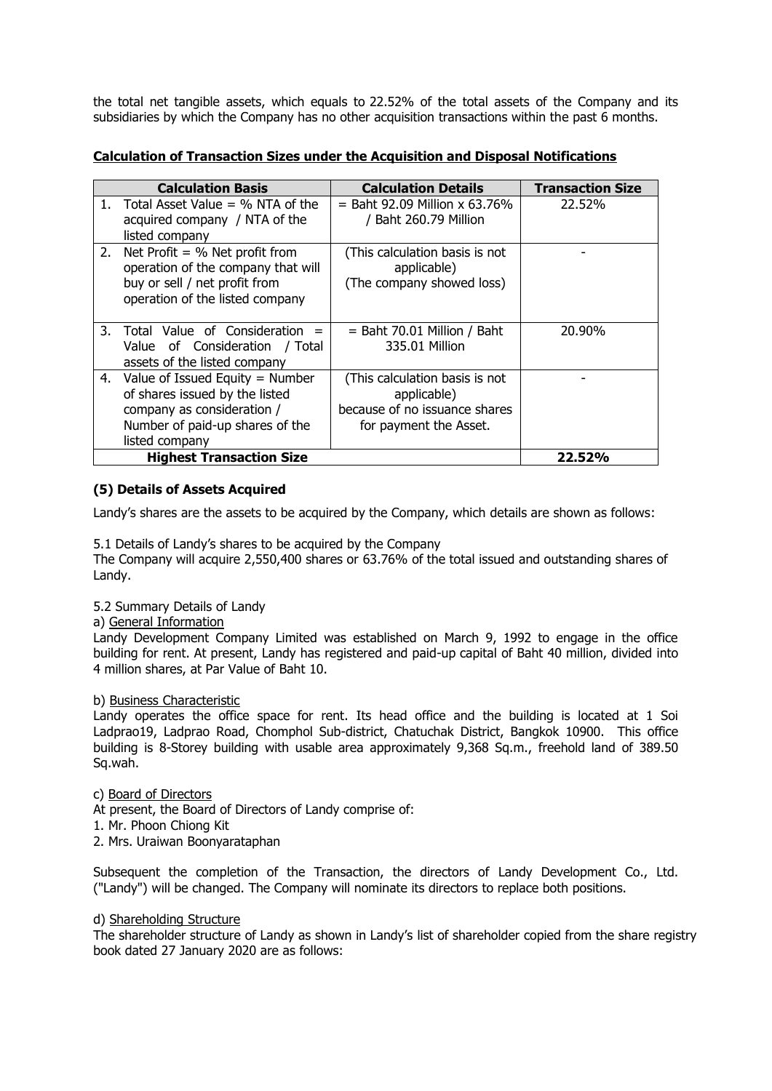the total net tangible assets, which equals to 22.52% of the total assets of the Company and its subsidiaries by which the Company has no other acquisition transactions within the past 6 months.

|--|

|    | <b>Calculation Basis</b>                                                                                                                                | <b>Calculation Details</b>                                                                               | <b>Transaction Size</b> |
|----|---------------------------------------------------------------------------------------------------------------------------------------------------------|----------------------------------------------------------------------------------------------------------|-------------------------|
| 1. | Total Asset Value $=$ % NTA of the<br>acquired company / NTA of the<br>listed company                                                                   | $=$ Baht 92.09 Million x 63.76%<br>/ Baht 260.79 Million                                                 | 22.52%                  |
|    | 2. Net Profit = $%$ Net profit from<br>operation of the company that will<br>buy or sell / net profit from<br>operation of the listed company           | (This calculation basis is not<br>applicable)<br>(The company showed loss)                               |                         |
| 3. | Total Value of Consideration =<br>Value of Consideration / Total<br>assets of the listed company                                                        | $=$ Baht 70.01 Million / Baht<br>335.01 Million                                                          | 20.90%                  |
|    | 4. Value of Issued Equity = Number<br>of shares issued by the listed<br>company as consideration /<br>Number of paid-up shares of the<br>listed company | (This calculation basis is not<br>applicable)<br>because of no issuance shares<br>for payment the Asset. |                         |
|    | <b>Highest Transaction Size</b>                                                                                                                         |                                                                                                          | 22.52%                  |

# **(5) Details of Assets Acquired**

Landy's shares are the assets to be acquired by the Company, which details are shown as follows:

5.1 Details of Landy's shares to be acquired by the Company

The Company will acquire 2,550,400 shares or 63.76% of the total issued and outstanding shares of Landy.

# 5.2 Summary Details of Landy

#### a) General Information

Landy Development Company Limited was established on March 9, 1992 to engage in the office building for rent. At present, Landy has registered and paid-up capital of Baht 40 million, divided into 4 million shares, at Par Value of Baht 10.

# b) Business Characteristic

Landy operates the office space for rent. Its head office and the building is located at 1 Soi Ladprao19, Ladprao Road, Chomphol Sub-district, Chatuchak District, Bangkok 10900. This office building is 8-Storey building with usable area approximately 9,368 Sq.m., freehold land of 389.50 Sq.wah.

# c) Board of Directors

At present, the Board of Directors of Landy comprise of:

- 1. Mr. Phoon Chiong Kit
- 2. Mrs. Uraiwan Boonyarataphan

Subsequent the completion of the Transaction, the directors of Landy Development Co., Ltd. ("Landy") will be changed. The Company will nominate its directors to replace both positions.

#### d) Shareholding Structure

The shareholder structure of Landy as shown in Landy's list of shareholder copied from the share registry book dated 27 January 2020 are as follows: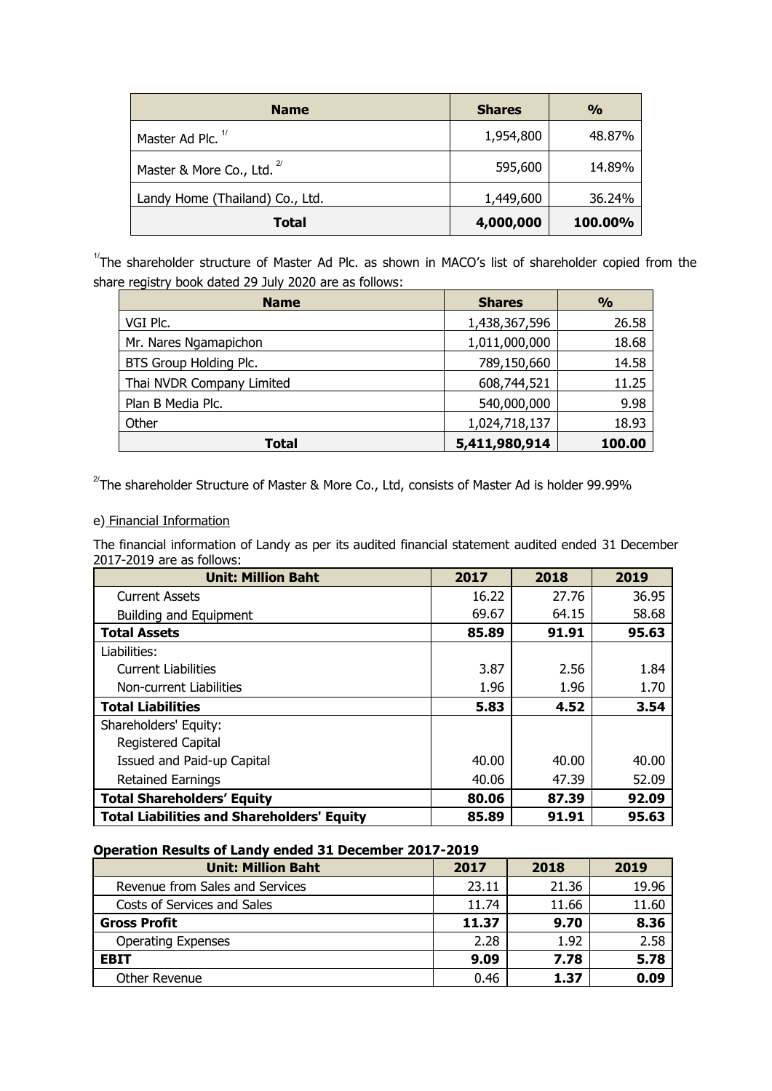| <b>Name</b>                           | <b>Shares</b> | $\frac{0}{0}$ |
|---------------------------------------|---------------|---------------|
| Master Ad Plc. <sup>1/</sup>          | 1,954,800     | 48.87%        |
| Master & More Co., Ltd. <sup>27</sup> | 595,600       | 14.89%        |
| Landy Home (Thailand) Co., Ltd.       | 1,449,600     | 36.24%        |
| <b>Total</b>                          | 4,000,000     | 100.00%       |

 $1/7$ The shareholder structure of Master Ad Plc. as shown in MACO's list of shareholder copied from the share registry book dated 29 July 2020 are as follows:

| <b>Name</b>               | <b>Shares</b> | $\frac{9}{6}$ |
|---------------------------|---------------|---------------|
| VGI Plc.                  | 1,438,367,596 | 26.58         |
| Mr. Nares Ngamapichon     | 1,011,000,000 | 18.68         |
| BTS Group Holding Plc.    | 789,150,660   | 14.58         |
| Thai NVDR Company Limited | 608,744,521   | 11.25         |
| Plan B Media Plc.         | 540,000,000   | 9.98          |
| Other                     | 1,024,718,137 | 18.93         |
| <b>Total</b>              | 5,411,980,914 | 100.00        |

 $^{27}$ The shareholder Structure of Master & More Co., Ltd, consists of Master Ad is holder 99.99%

# e) Financial Information

The financial information of Landy as per its audited financial statement audited ended 31 December 2017-2019 are as follows:

| <b>Unit: Million Baht</b>                         | 2017  | 2018  | 2019  |
|---------------------------------------------------|-------|-------|-------|
| <b>Current Assets</b>                             | 16.22 | 27.76 | 36.95 |
| <b>Building and Equipment</b>                     | 69.67 | 64.15 | 58.68 |
| <b>Total Assets</b>                               | 85.89 | 91.91 | 95.63 |
| Liabilities:                                      |       |       |       |
| <b>Current Liabilities</b>                        | 3.87  | 2.56  | 1.84  |
| Non-current Liabilities                           | 1.96  | 1.96  | 1.70  |
| <b>Total Liabilities</b>                          | 5.83  | 4.52  | 3.54  |
| Shareholders' Equity:                             |       |       |       |
| Registered Capital                                |       |       |       |
| Issued and Paid-up Capital                        | 40.00 | 40.00 | 40.00 |
| <b>Retained Earnings</b>                          | 40.06 | 47.39 | 52.09 |
| <b>Total Shareholders' Equity</b>                 | 80.06 | 87.39 | 92.09 |
| <b>Total Liabilities and Shareholders' Equity</b> | 85.89 | 91.91 | 95.63 |

# **Operation Results of Landy ended 31 December 2017-2019**

| <b>Unit: Million Baht</b>       | 2017  | 2018  | 2019  |
|---------------------------------|-------|-------|-------|
| Revenue from Sales and Services | 23.11 | 21.36 | 19.96 |
| Costs of Services and Sales     | 11.74 | 11.66 | 11.60 |
| <b>Gross Profit</b>             | 11.37 | 9.70  | 8.36  |
| <b>Operating Expenses</b>       | 2.28  | 1.92  | 2.58  |
| <b>EBIT</b>                     | 9.09  | 7.78  | 5.78  |
| Other Revenue                   | 0.46  | 1.37  | 0.09  |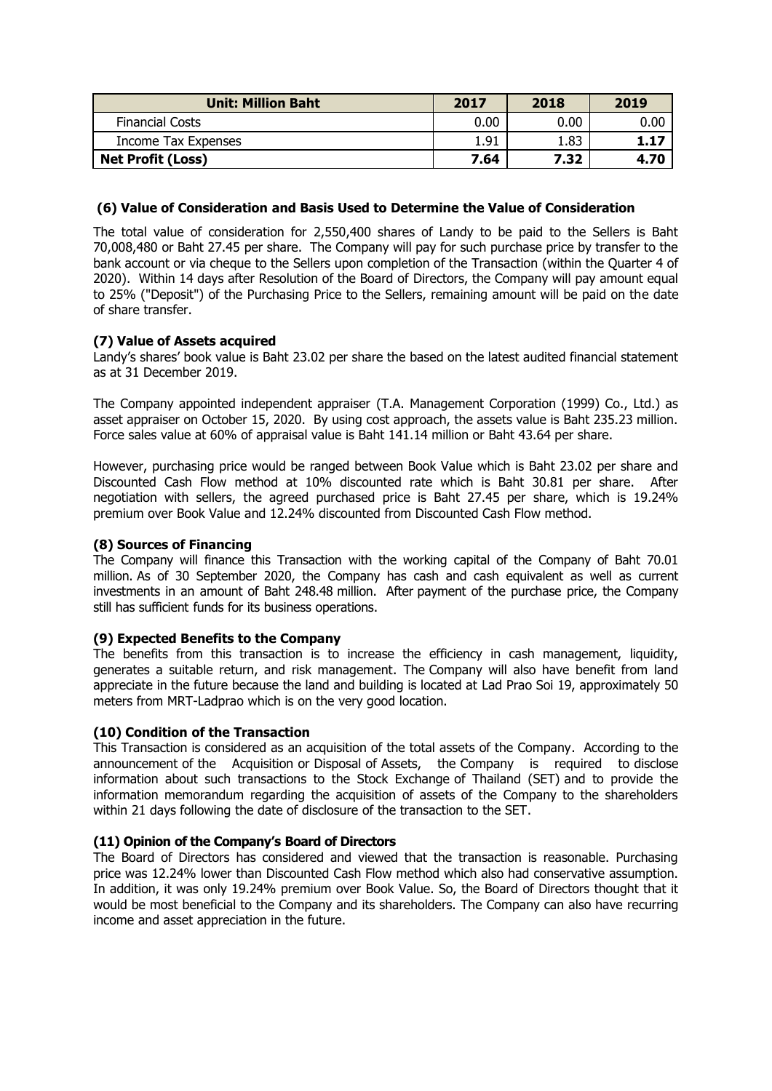| <b>Unit: Million Baht</b> | 2017 | 2018 | 2019     |
|---------------------------|------|------|----------|
| <b>Financial Costs</b>    | 0.00 | 0.00 | $0.00\,$ |
| Income Tax Expenses       | 1.91 | 1.83 | 1.17     |
| <b>Net Profit (Loss)</b>  | 7.64 | 7.32 | 4.70     |

# **(6) Value of Consideration and Basis Used to Determine the Value of Consideration**

The total value of consideration for 2,550,400 shares of Landy to be paid to the Sellers is Baht 70,008,480 or Baht 27.45 per share. The Company will pay for such purchase price by transfer to the bank account or via cheque to the Sellers upon completion of the Transaction (within the Quarter 4 of 2020). Within 14 days after Resolution of the Board of Directors, the Company will pay amount equal to 25% ("Deposit") of the Purchasing Price to the Sellers, remaining amount will be paid on the date of share transfer.

# **(7) Value of Assets acquired**

Landy's shares' book value is Baht 23.02 per share the based on the latest audited financial statement as at 31 December 2019.

The Company appointed independent appraiser (T.A. Management Corporation (1999) Co., Ltd.) as asset appraiser on October 15, 2020. By using cost approach, the assets value is Baht 235.23 million. Force sales value at 60% of appraisal value is Baht 141.14 million or Baht 43.64 per share.

However, purchasing price would be ranged between Book Value which is Baht 23.02 per share and Discounted Cash Flow method at 10% discounted rate which is Baht 30.81 per share. After negotiation with sellers, the agreed purchased price is Baht 27.45 per share, which is 19.24% premium over Book Value and 12.24% discounted from Discounted Cash Flow method.

# **(8) Sources of Financing**

The Company will finance this Transaction with the working capital of the Company of Baht 70.01 million. As of 30 September 2020, the Company has cash and cash equivalent as well as current investments in an amount of Baht 248.48 million. After payment of the purchase price, the Company still has sufficient funds for its business operations.

# **(9) Expected Benefits to the Company**

The benefits from this transaction is to increase the efficiency in cash management, liquidity, generates a suitable return, and risk management. The Company will also have benefit from land appreciate in the future because the land and building is located at Lad Prao Soi 19, approximately 50 meters from MRT-Ladprao which is on the very good location.

# **(10) Condition of the Transaction**

This Transaction is considered as an acquisition of the total assets of the Company. According to the announcement of the Acquisition or Disposal of Assets, the Company is required to disclose information about such transactions to the Stock Exchange of Thailand (SET) and to provide the information memorandum regarding the acquisition of assets of the Company to the shareholders within 21 days following the date of disclosure of the transaction to the SET.

# **(11) Opinion of the Company's Board of Directors**

The Board of Directors has considered and viewed that the transaction is reasonable. Purchasing price was 12.24% lower than Discounted Cash Flow method which also had conservative assumption. In addition, it was only 19.24% premium over Book Value. So, the Board of Directors thought that it would be most beneficial to the Company and its shareholders. The Company can also have recurring income and asset appreciation in the future.